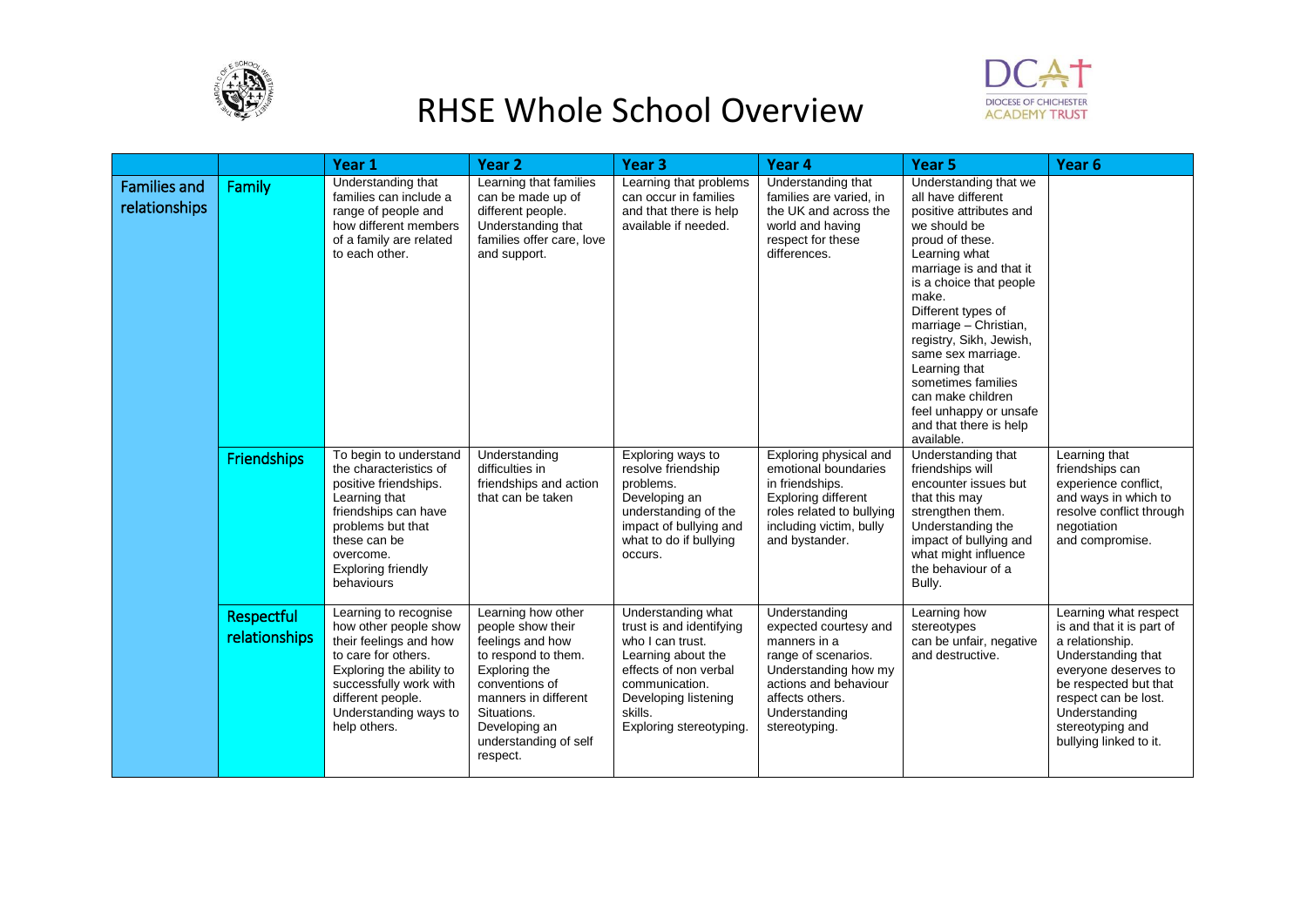



|                                      |                             | Year 1                                                                                                                                                                                                              | Year <sub>2</sub>                                                                                                                                                                                                  | Year <sub>3</sub>                                                                                                                                                                                 | Year 4                                                                                                                                                                              | Year <sub>5</sub>                                                                                                                                                                                                                                                                                                                                                                                                       | Year <sub>6</sub>                                                                                                                                                                                                                   |
|--------------------------------------|-----------------------------|---------------------------------------------------------------------------------------------------------------------------------------------------------------------------------------------------------------------|--------------------------------------------------------------------------------------------------------------------------------------------------------------------------------------------------------------------|---------------------------------------------------------------------------------------------------------------------------------------------------------------------------------------------------|-------------------------------------------------------------------------------------------------------------------------------------------------------------------------------------|-------------------------------------------------------------------------------------------------------------------------------------------------------------------------------------------------------------------------------------------------------------------------------------------------------------------------------------------------------------------------------------------------------------------------|-------------------------------------------------------------------------------------------------------------------------------------------------------------------------------------------------------------------------------------|
| <b>Families and</b><br>relationships | Family                      | Understanding that<br>families can include a<br>range of people and<br>how different members<br>of a family are related<br>to each other.                                                                           | Learning that families<br>can be made up of<br>different people.<br>Understanding that<br>families offer care, love<br>and support.                                                                                | Learning that problems<br>can occur in families<br>and that there is help<br>available if needed.                                                                                                 | Understanding that<br>families are varied, in<br>the UK and across the<br>world and having<br>respect for these<br>differences.                                                     | Understanding that we<br>all have different<br>positive attributes and<br>we should be<br>proud of these.<br>Learning what<br>marriage is and that it<br>is a choice that people<br>make.<br>Different types of<br>marriage - Christian,<br>registry, Sikh, Jewish,<br>same sex marriage.<br>Learning that<br>sometimes families<br>can make children<br>feel unhappy or unsafe<br>and that there is help<br>available. |                                                                                                                                                                                                                                     |
|                                      | Friendships                 | To begin to understand<br>the characteristics of<br>positive friendships.<br>Learning that<br>friendships can have<br>problems but that<br>these can be<br>overcome.<br>Exploring friendly<br>behaviours            | Understanding<br>difficulties in<br>friendships and action<br>that can be taken                                                                                                                                    | Exploring ways to<br>resolve friendship<br>problems.<br>Developing an<br>understanding of the<br>impact of bullying and<br>what to do if bullying<br>occurs.                                      | Exploring physical and<br>emotional boundaries<br>in friendships.<br>Exploring different<br>roles related to bullying<br>including victim, bully<br>and bystander.                  | Understanding that<br>friendships will<br>encounter issues but<br>that this may<br>strengthen them.<br>Understanding the<br>impact of bullying and<br>what might influence<br>the behaviour of a<br>Bully.                                                                                                                                                                                                              | Learning that<br>friendships can<br>experience conflict,<br>and ways in which to<br>resolve conflict through<br>negotiation<br>and compromise.                                                                                      |
|                                      | Respectful<br>relationships | Learning to recognise<br>how other people show<br>their feelings and how<br>to care for others.<br>Exploring the ability to<br>successfully work with<br>different people.<br>Understanding ways to<br>help others. | Learning how other<br>people show their<br>feelings and how<br>to respond to them.<br>Exploring the<br>conventions of<br>manners in different<br>Situations.<br>Developing an<br>understanding of self<br>respect. | Understanding what<br>trust is and identifying<br>who I can trust.<br>Learning about the<br>effects of non verbal<br>communication.<br>Developing listening<br>skills.<br>Exploring stereotyping. | Understanding<br>expected courtesy and<br>manners in a<br>range of scenarios.<br>Understanding how my<br>actions and behaviour<br>affects others.<br>Understanding<br>stereotyping. | Learning how<br>stereotypes<br>can be unfair, negative<br>and destructive.                                                                                                                                                                                                                                                                                                                                              | Learning what respect<br>is and that it is part of<br>a relationship.<br>Understanding that<br>everyone deserves to<br>be respected but that<br>respect can be lost.<br>Understanding<br>stereotyping and<br>bullying linked to it. |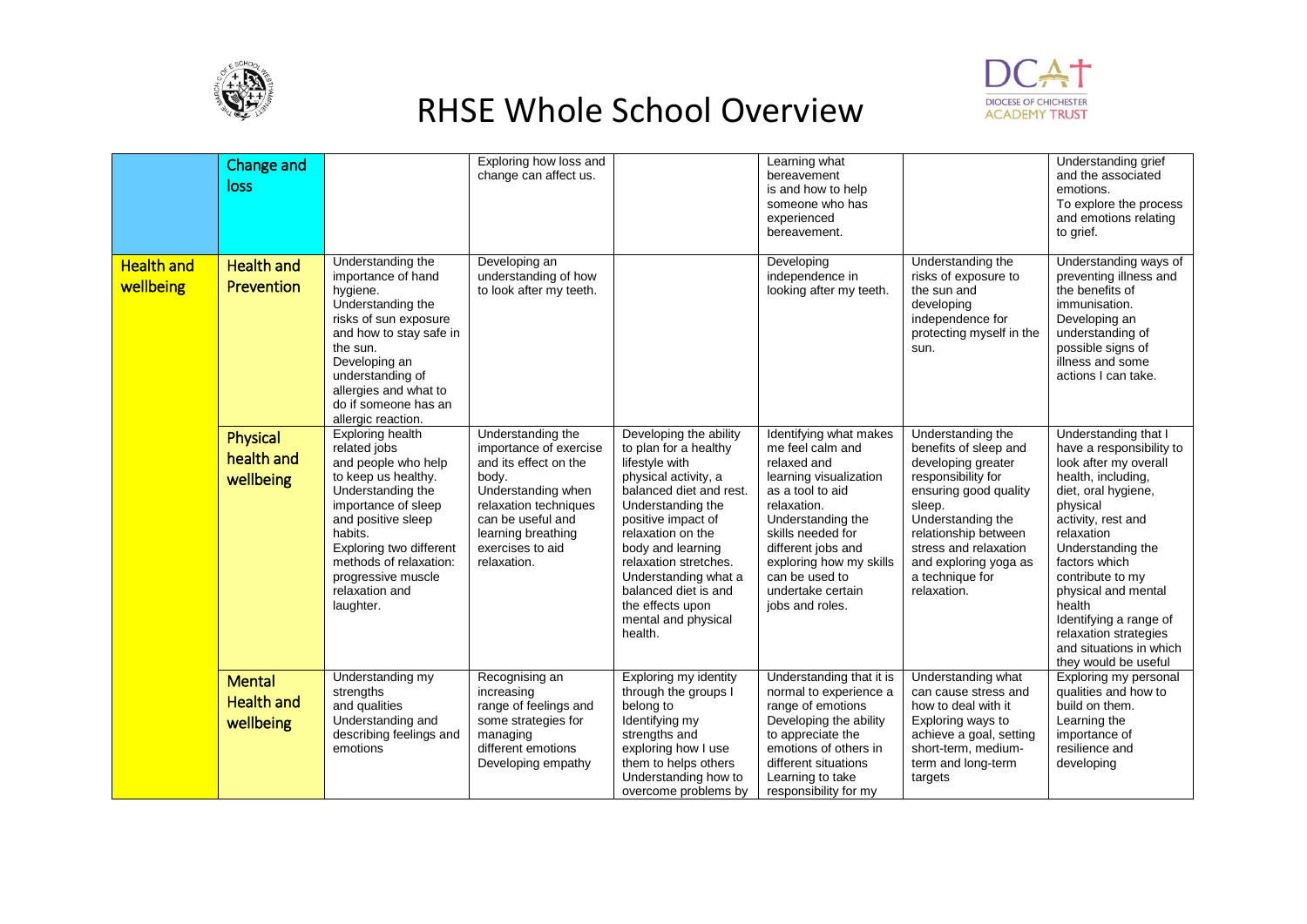



|                                | <b>Change and</b><br>loss                       |                                                                                                                                                                                                                                                                              | Exploring how loss and<br>change can affect us.                                                                                                                                                            |                                                                                                                                                                                                                                                                                                                                          | Learning what<br>bereavement<br>is and how to help<br>someone who has<br>experienced<br>bereavement.                                                                                                                                                                        |                                                                                                                                                                                                                                                            | Understanding grief<br>and the associated<br>emotions.<br>To explore the process<br>and emotions relating<br>to grief.                                                                                                                                                                                                                                                  |
|--------------------------------|-------------------------------------------------|------------------------------------------------------------------------------------------------------------------------------------------------------------------------------------------------------------------------------------------------------------------------------|------------------------------------------------------------------------------------------------------------------------------------------------------------------------------------------------------------|------------------------------------------------------------------------------------------------------------------------------------------------------------------------------------------------------------------------------------------------------------------------------------------------------------------------------------------|-----------------------------------------------------------------------------------------------------------------------------------------------------------------------------------------------------------------------------------------------------------------------------|------------------------------------------------------------------------------------------------------------------------------------------------------------------------------------------------------------------------------------------------------------|-------------------------------------------------------------------------------------------------------------------------------------------------------------------------------------------------------------------------------------------------------------------------------------------------------------------------------------------------------------------------|
| <b>Health and</b><br>wellbeing | <b>Health and</b><br>Prevention                 | Understanding the<br>importance of hand<br>hygiene.<br>Understanding the<br>risks of sun exposure<br>and how to stay safe in<br>the sun.<br>Developing an<br>understanding of<br>allergies and what to<br>do if someone has an<br>allergic reaction.                         | Developing an<br>understanding of how<br>to look after my teeth.                                                                                                                                           |                                                                                                                                                                                                                                                                                                                                          | Developing<br>independence in<br>looking after my teeth.                                                                                                                                                                                                                    | Understanding the<br>risks of exposure to<br>the sun and<br>developing<br>independence for<br>protecting myself in the<br>sun.                                                                                                                             | Understanding ways of<br>preventing illness and<br>the benefits of<br>immunisation.<br>Developing an<br>understanding of<br>possible signs of<br>illness and some<br>actions I can take.                                                                                                                                                                                |
|                                | Physical<br>health and<br>wellbeing             | <b>Exploring health</b><br>related jobs<br>and people who help<br>to keep us healthy.<br>Understanding the<br>importance of sleep<br>and positive sleep<br>habits.<br>Exploring two different<br>methods of relaxation:<br>progressive muscle<br>relaxation and<br>laughter. | Understanding the<br>importance of exercise<br>and its effect on the<br>body.<br>Understanding when<br>relaxation techniques<br>can be useful and<br>learning breathing<br>exercises to aid<br>relaxation. | Developing the ability<br>to plan for a healthy<br>lifestyle with<br>physical activity, a<br>balanced diet and rest.<br>Understanding the<br>positive impact of<br>relaxation on the<br>body and learning<br>relaxation stretches.<br>Understanding what a<br>balanced diet is and<br>the effects upon<br>mental and physical<br>health. | Identifying what makes<br>me feel calm and<br>relaxed and<br>learning visualization<br>as a tool to aid<br>relaxation.<br>Understanding the<br>skills needed for<br>different jobs and<br>exploring how my skills<br>can be used to<br>undertake certain<br>jobs and roles. | Understanding the<br>benefits of sleep and<br>developing greater<br>responsibility for<br>ensuring good quality<br>sleep.<br>Understanding the<br>relationship between<br>stress and relaxation<br>and exploring yoga as<br>a technique for<br>relaxation. | Understanding that I<br>have a responsibility to<br>look after my overall<br>health, including,<br>diet, oral hygiene,<br>physical<br>activity, rest and<br>relaxation<br>Understanding the<br>factors which<br>contribute to my<br>physical and mental<br>health<br>Identifying a range of<br>relaxation strategies<br>and situations in which<br>they would be useful |
|                                | <b>Mental</b><br><b>Health and</b><br>wellbeing | Understanding my<br>strengths<br>and qualities<br>Understanding and<br>describing feelings and<br>emotions                                                                                                                                                                   | Recognising an<br>increasing<br>range of feelings and<br>some strategies for<br>managing<br>different emotions<br>Developing empathy                                                                       | Exploring my identity<br>through the groups I<br>belong to<br>Identifying my<br>strengths and<br>exploring how I use<br>them to helps others<br>Understanding how to<br>overcome problems by                                                                                                                                             | Understanding that it is<br>normal to experience a<br>range of emotions<br>Developing the ability<br>to appreciate the<br>emotions of others in<br>different situations<br>Learning to take<br>responsibility for my                                                        | Understanding what<br>can cause stress and<br>how to deal with it<br>Exploring ways to<br>achieve a goal, setting<br>short-term, medium-<br>term and long-term<br>targets                                                                                  | Exploring my personal<br>qualities and how to<br>build on them.<br>Learning the<br>importance of<br>resilience and<br>developing                                                                                                                                                                                                                                        |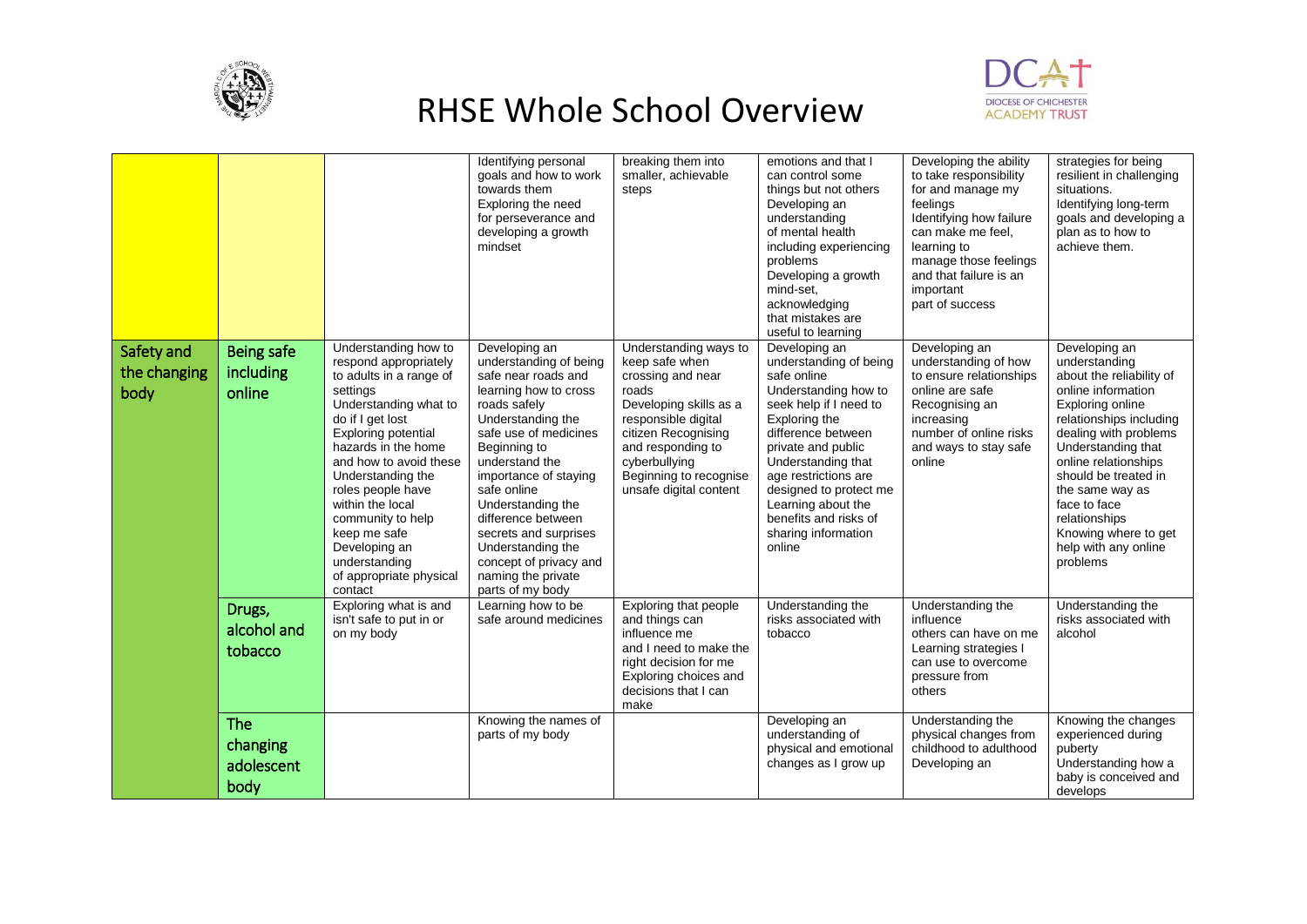



|                                    |                                       |                                                                                                                                                                                                                                                                                                                                                                                             | Identifying personal<br>goals and how to work<br>towards them<br>Exploring the need<br>for perseverance and<br>developing a growth<br>mindset                                                                                                                                                                                                                                                | breaking them into<br>smaller, achievable<br>steps                                                                                                                                                                                      | emotions and that I<br>can control some<br>things but not others<br>Developing an<br>understanding<br>of mental health<br>including experiencing<br>problems<br>Developing a growth<br>mind-set.<br>acknowledging<br>that mistakes are<br>useful to learning                                                                  | Developing the ability<br>to take responsibility<br>for and manage my<br>feelings<br>Identifying how failure<br>can make me feel,<br>learning to<br>manage those feelings<br>and that failure is an<br>important<br>part of success | strategies for being<br>resilient in challenging<br>situations.<br>Identifying long-term<br>goals and developing a<br>plan as to how to<br>achieve them.                                                                                                                                                                                       |
|------------------------------------|---------------------------------------|---------------------------------------------------------------------------------------------------------------------------------------------------------------------------------------------------------------------------------------------------------------------------------------------------------------------------------------------------------------------------------------------|----------------------------------------------------------------------------------------------------------------------------------------------------------------------------------------------------------------------------------------------------------------------------------------------------------------------------------------------------------------------------------------------|-----------------------------------------------------------------------------------------------------------------------------------------------------------------------------------------------------------------------------------------|-------------------------------------------------------------------------------------------------------------------------------------------------------------------------------------------------------------------------------------------------------------------------------------------------------------------------------|-------------------------------------------------------------------------------------------------------------------------------------------------------------------------------------------------------------------------------------|------------------------------------------------------------------------------------------------------------------------------------------------------------------------------------------------------------------------------------------------------------------------------------------------------------------------------------------------|
| Safety and<br>the changing<br>body | Being safe<br>including<br>online     | Understanding how to<br>respond appropriately<br>to adults in a range of<br>settings<br>Understanding what to<br>do if I get lost<br><b>Exploring potential</b><br>hazards in the home<br>and how to avoid these<br>Understanding the<br>roles people have<br>within the local<br>community to help<br>keep me safe<br>Developing an<br>understanding<br>of appropriate physical<br>contact | Developing an<br>understanding of being<br>safe near roads and<br>learning how to cross<br>roads safely<br>Understanding the<br>safe use of medicines<br>Beginning to<br>understand the<br>importance of staying<br>safe online<br>Understanding the<br>difference between<br>secrets and surprises<br>Understanding the<br>concept of privacy and<br>naming the private<br>parts of my body | Understanding ways to<br>keep safe when<br>crossing and near<br>roads<br>Developing skills as a<br>responsible digital<br>citizen Recognising<br>and responding to<br>cyberbullying<br>Beginning to recognise<br>unsafe digital content | Developing an<br>understanding of being<br>safe online<br>Understanding how to<br>seek help if I need to<br>Exploring the<br>difference between<br>private and public<br>Understanding that<br>age restrictions are<br>designed to protect me<br>Learning about the<br>benefits and risks of<br>sharing information<br>online | Developing an<br>understanding of how<br>to ensure relationships<br>online are safe<br>Recognising an<br>increasing<br>number of online risks<br>and ways to stay safe<br>online                                                    | Developing an<br>understanding<br>about the reliability of<br>online information<br>Exploring online<br>relationships including<br>dealing with problems<br>Understanding that<br>online relationships<br>should be treated in<br>the same way as<br>face to face<br>relationships<br>Knowing where to get<br>help with any online<br>problems |
|                                    | Drugs,<br>alcohol and<br>tobacco      | Exploring what is and<br>isn't safe to put in or<br>on my body                                                                                                                                                                                                                                                                                                                              | Learning how to be<br>safe around medicines                                                                                                                                                                                                                                                                                                                                                  | Exploring that people<br>and things can<br>influence me<br>and I need to make the<br>right decision for me<br>Exploring choices and<br>decisions that I can<br>make                                                                     | Understanding the<br>risks associated with<br>tobacco                                                                                                                                                                                                                                                                         | Understanding the<br>influence<br>others can have on me<br>Learning strategies I<br>can use to overcome<br>pressure from<br>others                                                                                                  | Understanding the<br>risks associated with<br>alcohol                                                                                                                                                                                                                                                                                          |
|                                    | The<br>changing<br>adolescent<br>body |                                                                                                                                                                                                                                                                                                                                                                                             | Knowing the names of<br>parts of my body                                                                                                                                                                                                                                                                                                                                                     |                                                                                                                                                                                                                                         | Developing an<br>understanding of<br>physical and emotional<br>changes as I grow up                                                                                                                                                                                                                                           | Understanding the<br>physical changes from<br>childhood to adulthood<br>Developing an                                                                                                                                               | Knowing the changes<br>experienced during<br>puberty<br>Understanding how a<br>baby is conceived and<br>develops                                                                                                                                                                                                                               |